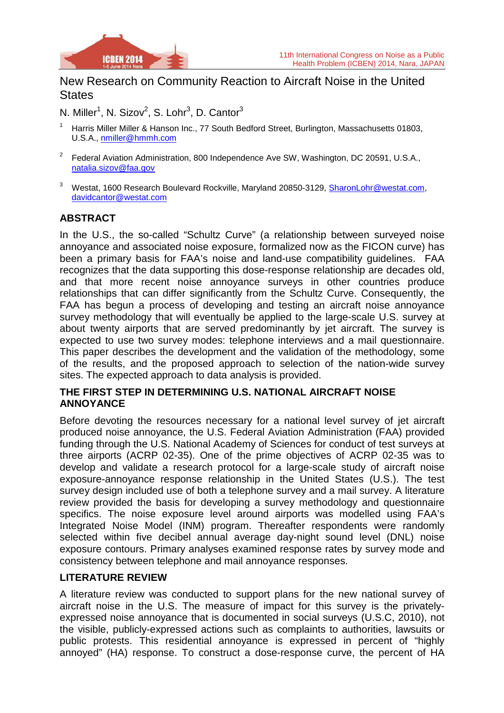

# New Research on Community Reaction to Aircraft Noise in the United **States**

N. Miller<sup>1</sup>, N. Sizov<sup>2</sup>, S. Lohr<sup>3</sup>, D. Cantor<sup>3</sup>

- <sup>1</sup> Harris Miller Miller & Hanson Inc., 77 South Bedford Street, Burlington, Massachusetts 01803, U.S.A., [nmiller@hmmh.com](mailto:nmiller@hmmh.com)
- 2 Federal Aviation Administration, 800 Independence Ave SW, Washington, DC 20591, U.S.A., [natalia.sizov@faa.gov](mailto:natalia.sizov@faa.gov)
- <sup>3</sup> Westat, 1600 Research Boulevard Rockville, Maryland 20850-3129, [SharonLohr@westat.com](mailto:SharonLohr@westat.com), [davidcantor@westat.com](mailto:davidcantor@westat.com)

# **ABSTRACT**

In the U.S., the so-called "Schultz Curve" (a relationship between surveyed noise annoyance and associated noise exposure, formalized now as the FICON curve) has been a primary basis for FAA's noise and land-use compatibility guidelines. FAA recognizes that the data supporting this dose-response relationship are decades old, and that more recent noise annoyance surveys in other countries produce relationships that can differ significantly from the Schultz Curve. Consequently, the FAA has begun a process of developing and testing an aircraft noise annoyance survey methodology that will eventually be applied to the large-scale U.S. survey at about twenty airports that are served predominantly by jet aircraft. The survey is expected to use two survey modes: telephone interviews and a mail questionnaire. This paper describes the development and the validation of the methodology, some of the results, and the proposed approach to selection of the nation-wide survey sites. The expected approach to data analysis is provided.

## **THE FIRST STEP IN DETERMINING U.S. NATIONAL AIRCRAFT NOISE ANNOYANCE**

Before devoting the resources necessary for a national level survey of jet aircraft produced noise annoyance, the U.S. Federal Aviation Administration (FAA) provided funding through the U.S. National Academy of Sciences for conduct of test surveys at three airports (ACRP 02-35). One of the prime objectives of ACRP 02-35 was to develop and validate a research protocol for a large-scale study of aircraft noise exposure-annoyance response relationship in the United States (U.S.). The test survey design included use of both a telephone survey and a mail survey. A literature review provided the basis for developing a survey methodology and questionnaire specifics. The noise exposure level around airports was modelled using FAA's Integrated Noise Model (INM) program. Thereafter respondents were randomly selected within five decibel annual average day-night sound level (DNL) noise exposure contours. Primary analyses examined response rates by survey mode and consistency between telephone and mail annoyance responses.

## **LITERATURE REVIEW**

A literature review was conducted to support plans for the new national survey of aircraft noise in the U.S. The measure of impact for this survey is the privatelyexpressed noise annoyance that is documented in social surveys (U.S.C, 2010), not the visible, publicly-expressed actions such as complaints to authorities, lawsuits or public protests. This residential annoyance is expressed in percent of "highly annoyed" (HA) response. To construct a dose-response curve, the percent of HA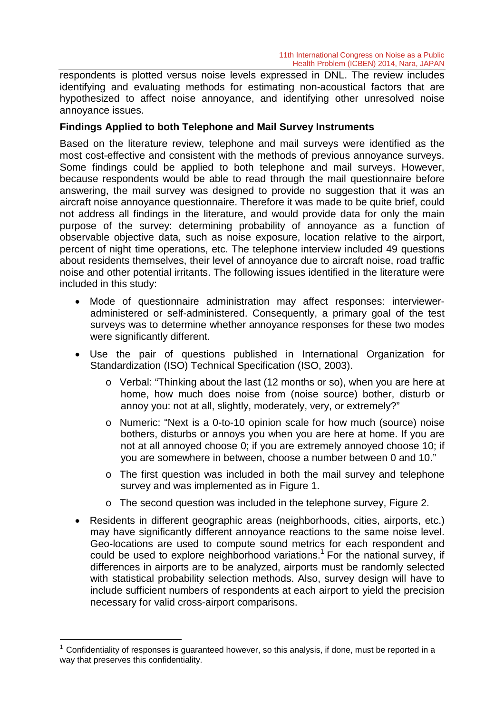respondents is plotted versus noise levels expressed in DNL. The review includes identifying and evaluating methods for estimating non-acoustical factors that are hypothesized to affect noise annoyance, and identifying other unresolved noise annoyance issues.

## **Findings Applied to both Telephone and Mail Survey Instruments**

Based on the literature review, telephone and mail surveys were identified as the most cost-effective and consistent with the methods of previous annoyance surveys. Some findings could be applied to both telephone and mail surveys. However, because respondents would be able to read through the mail questionnaire before answering, the mail survey was designed to provide no suggestion that it was an aircraft noise annoyance questionnaire. Therefore it was made to be quite brief, could not address all findings in the literature, and would provide data for only the main purpose of the survey: determining probability of annoyance as a function of observable objective data, such as noise exposure, location relative to the airport, percent of night time operations, etc. The telephone interview included 49 questions about residents themselves, their level of annoyance due to aircraft noise, road traffic noise and other potential irritants. The following issues identified in the literature were included in this study:

- Mode of questionnaire administration may affect responses: intervieweradministered or self-administered. Consequently, a primary goal of the test surveys was to determine whether annoyance responses for these two modes were significantly different.
- Use the pair of questions published in International Organization for Standardization (ISO) Technical Specification (ISO, 2003).
	- o Verbal: "Thinking about the last (12 months or so), when you are here at home, how much does noise from (noise source) bother, disturb or annoy you: not at all, slightly, moderately, very, or extremely?"
	- o Numeric: "Next is a 0-to-10 opinion scale for how much (source) noise bothers, disturbs or annoys you when you are here at home. If you are not at all annoyed choose 0; if you are extremely annoyed choose 10; if you are somewhere in between, choose a number between 0 and 10."
	- $\circ$  The first question was included in both the mail survey and telephone survey and was implementedasin [Figure 1](#page-2-0).
	- o The second question was included in the telephone survey, [Figure 2.](#page-2-1)
- Residents in different geographic areas (neighborhoods, cities, airports, etc.) may have significantly different annoyance reactions to the same noise level. Geo-locations are used to compute sound metrics for each respondent and could be used to explore neighborhood variations.<sup>[1](#page-1-0)</sup> For the national survey, if differences in airports are to be analyzed, airports must be randomly selected with statistical probability selection methods. Also, survey design will have to include sufficient numbers of respondents at each airport to yield the precision necessary for valid cross-airport comparisons.

<span id="page-1-0"></span> $1$  Confidentiality of responses is guaranteed however, so this analysis, if done, must be reported in a way that preserves this confidentiality.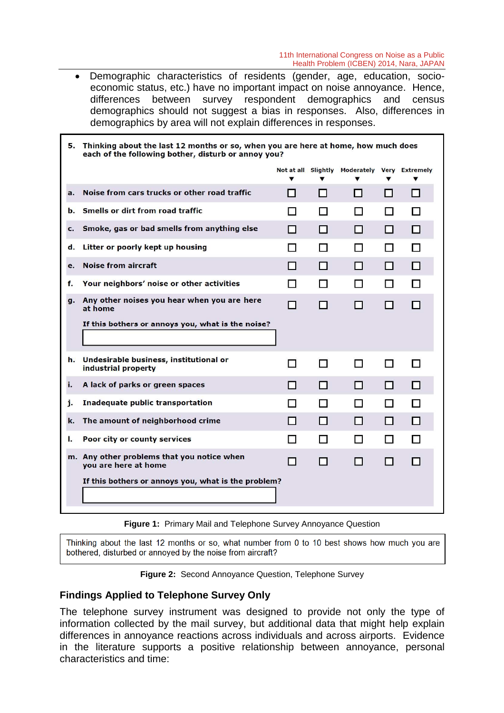11th International Congress on Noise as a Public Health Problem (ICBEN) 2014, Nara, JAPAN

 Demographic characteristics of residents (gender, age, education, socioeconomic status, etc.) have no important impact on noise annoyance. Hence, differences between survey respondent demographics and census demographics should not suggest a bias in responses. Also, differences in demographics by area will not explain differences in responses.

| 5. | Thinking about the last 12 months or so, when you are here at home, how much does<br>each of the following bother, disturb or annoy you? |             |    |                                                    |                |                |
|----|------------------------------------------------------------------------------------------------------------------------------------------|-------------|----|----------------------------------------------------|----------------|----------------|
|    |                                                                                                                                          | ▼           | ▼  | Not at all Slightly Moderately Very Extremely<br>▼ | ▼              | ▼              |
| a. | Noise from cars trucks or other road traffic                                                                                             | П           | П  | П                                                  | П              | LΙ             |
| b. | Smells or dirt from road traffic                                                                                                         | <b>Tara</b> |    | - 1                                                | $\blacksquare$ |                |
| c. | Smoke, gas or bad smells from anything else                                                                                              | П           | L  | H                                                  | П              | П              |
| d. | Litter or poorly kept up housing                                                                                                         | П           | П  | l I                                                | П              | П              |
| e. | <b>Noise from aircraft</b>                                                                                                               | l 1         | M  | $\blacksquare$                                     | П              | П              |
| f. | Your neighbors' noise or other activities                                                                                                | m           | m  | П                                                  | П              |                |
| g. | Any other noises you hear when you are here<br>at home                                                                                   |             | m  | l 1                                                | П              | l 1            |
|    | If this bothers or annoys you, what is the noise?                                                                                        |             |    |                                                    |                |                |
| h. | Undesirable business, institutional or<br>industrial property                                                                            |             | M. | П                                                  | П              | <b>Tarat</b>   |
| i. | A lack of parks or green spaces                                                                                                          | H           | H  | LΙ                                                 | H              | $\mathsf{I}^-$ |
| j. | Inadequate public transportation                                                                                                         | H           | П  | $\blacksquare$                                     | $\blacksquare$ |                |
| k. | The amount of neighborhood crime                                                                                                         | H           | LП | LΙ                                                 | П              | П              |
| ۱. | Poor city or county services                                                                                                             |             |    | П                                                  | П              |                |
|    | m. Any other problems that you notice when<br>you are here at home                                                                       | П           | Ш  | П                                                  | П              | П              |
|    | If this bothers or annoys you, what is the problem?                                                                                      |             |    |                                                    |                |                |

<span id="page-2-0"></span>**Figure 1:** Primary Mail and Telephone Survey Annoyance Question

Thinking about the last 12 months or so, what number from 0 to 10 best shows how much you are bothered, disturbed or annoyed by the noise from aircraft?

<span id="page-2-1"></span>

|  |  | Figure 2: Second Annoyance Question, Telephone Survey |  |  |
|--|--|-------------------------------------------------------|--|--|
|--|--|-------------------------------------------------------|--|--|

### **Findings Applied to Telephone Survey Only**

The telephone survey instrument was designed to provide not only the type of information collected by the mail survey, but additional data that might help explain differences in annoyance reactions across individuals and across airports. Evidence in the literature supports a positive relationship between annoyance, personal characteristics and time: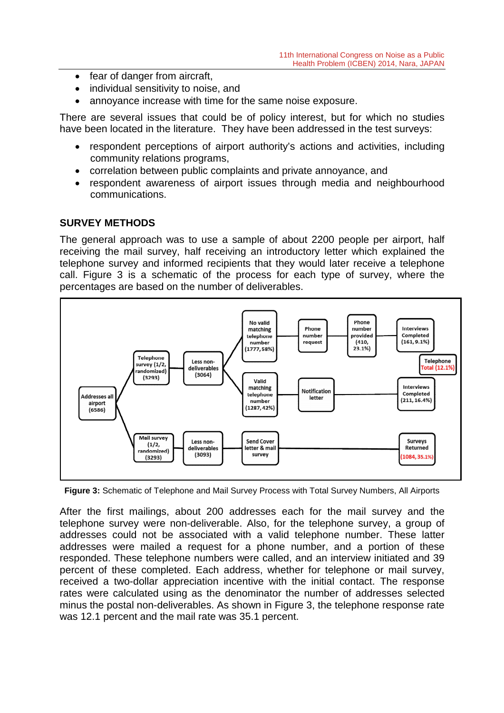- fear of danger from aircraft,
- individual sensitivity to noise, and
- annoyance increase with time for the same noise exposure.

There are several issues that could be of policy interest, but for which no studies have been located in the literature. They have been addressed in the test surveys:

- respondent perceptions of airport authority's actions and activities, including community relations programs,
- correlation between public complaints and private annoyance, and
- respondent awareness of airport issues through media and neighbourhood communications.

### **SURVEY METHODS**

The general approach was to use a sample of about 2200 people per airport, half receiving the mail survey, half receiving an introductory letter which explained the telephone survey and informed recipients that they would later receive a telephone call. [Figure 3](#page-3-0) is a schematic of the process for each type of survey, where the percentages are based on the number of deliverables.



<span id="page-3-0"></span>**Figure 3:** Schematic of Telephone and Mail Survey Process with Total Survey Numbers, All Airports

After the first mailings, about 200 addresses each for the mail survey and the telephone survey were non-deliverable. Also, for the telephone survey, a group of addresses could not be associated with a valid telephone number. These latter addresses were mailed a request for a phone number, and a portion of these responded. These telephone numbers were called, and an interview initiated and 39 percent of these completed. Each address, whether for telephone or mail survey, received a two-dollar appreciation incentive with the initial contact. The response rates were calculated using as the denominator the number of addresses selected minus the postal non-deliverables. As shownin [Figure 3](#page-3-0), the telephone response rate was 12.1 percent and the mail rate was 35.1 percent.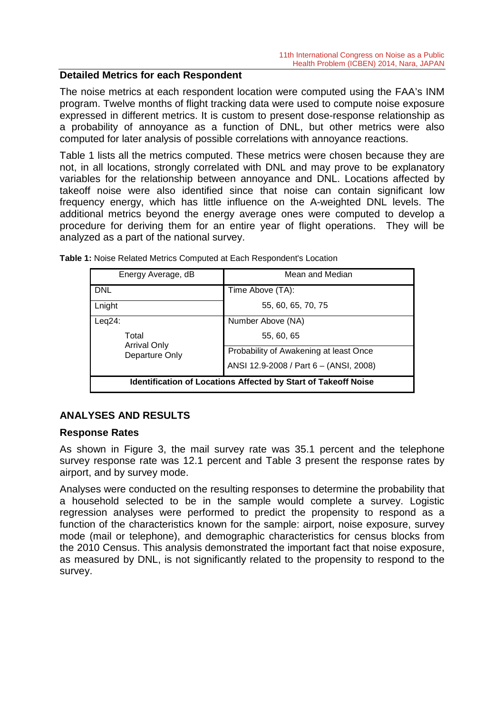### **Detailed Metrics for each Respondent**

The noise metrics at each respondent location were computed using the FAA's INM program. Twelve months of flight tracking data were used to compute noise exposure expressed in different metrics. It is custom to present dose-response relationship as a probability of annoyance as a function of DNL, but other metrics were also computed for later analysis of possible correlations with annoyance reactions.

[Table 1](#page-4-0) lists all the metrics computed. These metrics were chosen because they are not, in all locations, strongly correlated with DNL and may prove to be explanatory variables for the relationship between annoyance and DNL. Locations affected by takeoff noise were also identified since that noise can contain significant low frequency energy, which has little influence on the A-weighted DNL levels. The additional metrics beyond the energy average ones were computed to develop a procedure for deriving them for an entire year of flight operations. They will be analyzed as a part of the national survey.

| Energy Average, dB                                                    | Mean and Median                        |  |  |  |
|-----------------------------------------------------------------------|----------------------------------------|--|--|--|
| <b>DNL</b>                                                            | Time Above (TA):                       |  |  |  |
| Lnight                                                                | 55, 60, 65, 70, 75                     |  |  |  |
| Leg24:                                                                | Number Above (NA)                      |  |  |  |
| Total                                                                 | 55, 60, 65                             |  |  |  |
| <b>Arrival Only</b><br>Departure Only                                 | Probability of Awakening at least Once |  |  |  |
|                                                                       | ANSI 12.9-2008 / Part 6 - (ANSI, 2008) |  |  |  |
| <b>Identification of Locations Affected by Start of Takeoff Noise</b> |                                        |  |  |  |

<span id="page-4-0"></span>**Table 1:** Noise Related Metrics Computed at Each Respondent's Location

## **ANALYSES AND RESULTS**

### **Response Rates**

As shown in Figure 3, the mail survey rate was 35.1 percent and the telephone survey response rate was 12.1 percentand [Table 3](#page-5-0) present the response rates by airport, and by survey mode.

Analyses were conducted on the resulting responses to determine the probability that a household selected to be in the sample would complete a survey. Logistic regression analyses were performed to predict the propensity to respond as a function of the characteristics known for the sample: airport, noise exposure, survey mode (mail or telephone), and demographic characteristics for census blocks from the 2010 Census. This analysis demonstrated the important fact that noise exposure, as measured by DNL, is not significantly related to the propensity to respond to the survey.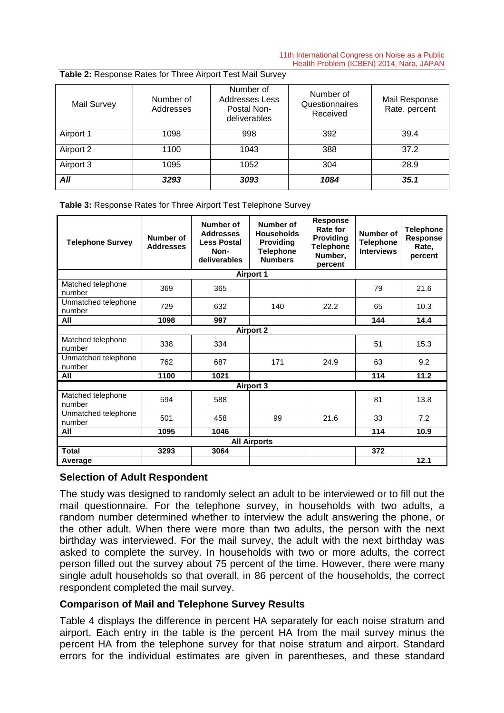#### 11th International Congress on Noise as a Public Health Problem (ICBEN) 2014, Nara, JAPAN

| <b>Mail Survey</b> | Number of<br>Addresses | Number of<br>Addresses Less<br>Postal Non-<br>deliverables | Number of<br>Questionnaires<br>Received | Mail Response<br>Rate. percent |
|--------------------|------------------------|------------------------------------------------------------|-----------------------------------------|--------------------------------|
| Airport 1          | 1098                   | 998                                                        | 392                                     | 39.4                           |
| Airport 2          | 1100                   | 1043                                                       | 388                                     | 37.2                           |
| Airport 3          | 1095                   | 1052                                                       | 304                                     | 28.9                           |
| All                | 3293                   | 3093                                                       | 1084                                    | 35.1                           |

| Table 2: Response Rates for Three Airport Test Mail Survey |  |  |
|------------------------------------------------------------|--|--|
|                                                            |  |  |

<span id="page-5-0"></span>**Table 3:** Response Rates for Three Airport Test Telephone Survey

| <b>Telephone Survey</b>       | Number of<br><b>Addresses</b> | Number of<br><b>Addresses</b><br><b>Less Postal</b><br>Non-<br>deliverables | Number of<br><b>Households</b><br>Providing<br><b>Telephone</b><br><b>Numbers</b> | <b>Response</b><br>Rate for<br><b>Providing</b><br><b>Telephone</b><br>Number.<br>percent | Number of<br><b>Telephone</b><br><b>Interviews</b> | <b>Telephone</b><br><b>Response</b><br>Rate,<br>percent |  |  |
|-------------------------------|-------------------------------|-----------------------------------------------------------------------------|-----------------------------------------------------------------------------------|-------------------------------------------------------------------------------------------|----------------------------------------------------|---------------------------------------------------------|--|--|
|                               |                               |                                                                             | <b>Airport 1</b>                                                                  |                                                                                           |                                                    |                                                         |  |  |
| Matched telephone<br>number   | 369                           | 365                                                                         |                                                                                   |                                                                                           | 79                                                 | 21.6                                                    |  |  |
| Unmatched telephone<br>number | 729                           | 632                                                                         | 140                                                                               | 22.2                                                                                      | 65                                                 | 10.3                                                    |  |  |
| All                           | 1098                          | 997                                                                         |                                                                                   |                                                                                           | 144                                                | 14.4                                                    |  |  |
| <b>Airport 2</b>              |                               |                                                                             |                                                                                   |                                                                                           |                                                    |                                                         |  |  |
| Matched telephone<br>number   | 338                           | 334                                                                         |                                                                                   |                                                                                           | 51                                                 | 15.3                                                    |  |  |
| Unmatched telephone<br>number | 762                           | 687                                                                         | 171                                                                               | 24.9                                                                                      | 63                                                 | 9.2                                                     |  |  |
| All                           | 1100                          | 1021                                                                        |                                                                                   |                                                                                           | 114                                                | 11.2                                                    |  |  |
| <b>Airport 3</b>              |                               |                                                                             |                                                                                   |                                                                                           |                                                    |                                                         |  |  |
| Matched telephone<br>number   | 594                           | 588                                                                         |                                                                                   |                                                                                           | 81                                                 | 13.8                                                    |  |  |
| Unmatched telephone<br>number | 501                           | 458                                                                         | 99                                                                                | 21.6                                                                                      | 33                                                 | 7.2                                                     |  |  |
| All                           | 1095                          | 1046                                                                        |                                                                                   |                                                                                           | 114                                                | 10.9                                                    |  |  |
| <b>All Airports</b>           |                               |                                                                             |                                                                                   |                                                                                           |                                                    |                                                         |  |  |
| <b>Total</b>                  | 3293                          | 3064                                                                        |                                                                                   |                                                                                           | 372                                                |                                                         |  |  |
| Average                       |                               |                                                                             |                                                                                   |                                                                                           |                                                    | 12.1                                                    |  |  |

## **Selection of Adult Respondent**

The study was designed to randomly select an adult to be interviewed or to fill out the mail questionnaire. For the telephone survey, in households with two adults, a random number determined whether to interview the adult answering the phone, or the other adult. When there were more than two adults, the person with the next birthday was interviewed. For the mail survey, the adult with the next birthday was asked to complete the survey. In households with two or more adults, the correct person filled out the survey about 75 percent of the time. However, there were many single adult households so that overall, in 86 percent of the households, the correct respondent completed the mail survey.

## **Comparison of Mail and Telephone Survey Results**

[Table 4](#page-6-0) displays the difference in percent HA separately for each noise stratum and airport. Each entry in the table is the percent HA from the mail survey minus the percent HA from the telephone survey for that noise stratum and airport. Standard errors for the individual estimates are given in parentheses, and these standard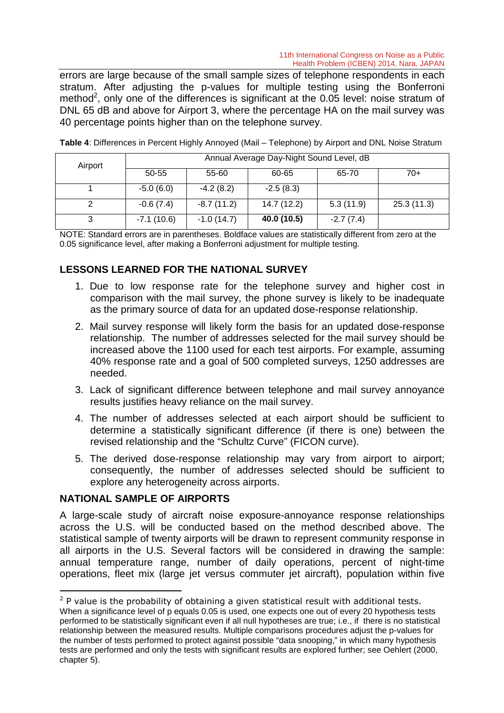errors are large because of the small sample sizes of telephone respondents in each stratum. After adjusting the p-values for multiple testing using the Bonferroni method<sup>[2](#page-6-1)</sup>, only one of the differences is significant at the 0.05 level: noise stratum of DNL 65 dB and above for Airport 3, where the percentage HA on the mail survey was 40 percentage points higher than on the telephone survey.

| Airport | Annual Average Day-Night Sound Level, dB |              |             |             |            |  |
|---------|------------------------------------------|--------------|-------------|-------------|------------|--|
|         | 50-55                                    | 55-60        | 60-65       | 65-70       | 70+        |  |
|         | $-5.0(6.0)$                              | $-4.2(8.2)$  | $-2.5(8.3)$ |             |            |  |
|         | $-0.6(7.4)$                              | $-8.7(11.2)$ | 14.7 (12.2) | 5.3(11.9)   | 25.3(11.3) |  |
| 3       | $-7.1(10.6)$                             | $-1.0(14.7)$ | 40.0 (10.5) | $-2.7(7.4)$ |            |  |

<span id="page-6-0"></span>**Table 4**: Differences in Percent Highly Annoyed (Mail – Telephone) by Airport and DNL Noise Stratum

NOTE: Standard errors are in parentheses. Boldface values are statistically different from zero at the 0.05 significance level, after making a Bonferroni adjustment for multiple testing.

## **LESSONS LEARNED FOR THE NATIONAL SURVEY**

- 1. Due to low response rate for the telephone survey and higher cost in comparison with the mail survey, the phone survey is likely to be inadequate as the primary source of data for an updated dose-response relationship.
- 2. Mail survey response will likely form the basis for an updated dose-response relationship. The number of addresses selected for the mail survey should be increased above the 1100 used for each test airports. For example, assuming 40% response rate and a goal of 500 completed surveys, 1250 addresses are needed.
- 3. Lack of significant difference between telephone and mail survey annoyance results justifies heavy reliance on the mail survey.
- 4. The number of addresses selected at each airport should be sufficient to determine a statistically significant difference (if there is one) between the revised relationship and the "Schultz Curve" (FICON curve).
- 5. The derived dose-response relationship may vary from airport to airport; consequently, the number of addresses selected should be sufficient to explore any heterogeneity across airports.

## **NATIONAL SAMPLE OF AIRPORTS**

A large-scale study of aircraft noise exposure-annoyance response relationships across the U.S. will be conducted based on the method described above. The statistical sample of twenty airports will be drawn to represent community response in all airports in the U.S. Several factors will be considered in drawing the sample: annual temperature range, number of daily operations, percent of night-time operations, fleet mix (large jet versus commuter jet aircraft), population within five

<span id="page-6-1"></span> $2$  P value is the probability of obtaining a given statistical result with additional tests. When a significance level of p equals 0.05 is used, one expects one out of every 20 hypothesis tests performed to be statistically significant even if all null hypotheses are true; i.e., if there is no statistical relationship between the measured results. Multiple comparisons procedures adjust the p-values for the number of tests performed to protect against possible "data snooping," in which many hypothesis tests are performed and only the tests with significant results are explored further; see Oehlert (2000, chapter 5).